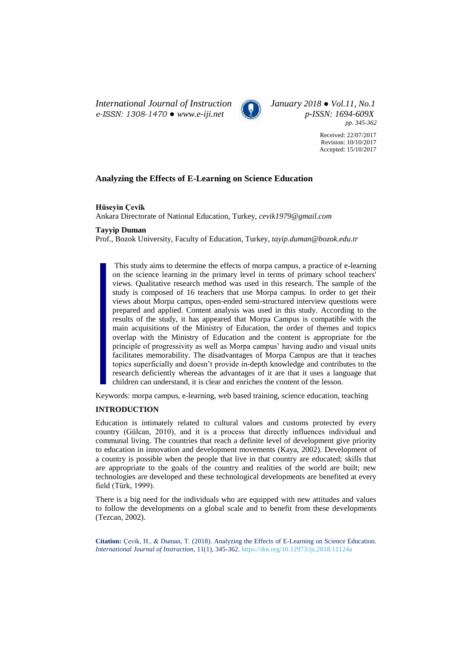*International Journal of Instruction January 2018 ● Vol.11, No.1 e-ISSN: 1308-1470 ● [www.e-iji.net](http://www.e-iji.net/) p-ISSN: 1694-609X*



*pp. 345-362*

Received: 22/07/2017 Revision: 10/10/2017 Accepted: 15/10/2017

# **Analyzing the Effects of E-Learning on Science Education**

# **Hüseyin Çevik**

Ankara Directorate of National Education, Turkey, *cevik1979@gmail.com*

# **Tayyip Duman**

Prof., Bozok University, Faculty of Education, Turkey, *tayip.duman@bozok.edu.tr*

This study aims to determine the effects of morpa campus, a practice of e-learning on the science learning in the primary level in terms of primary school teachers' views. Qualitative research method was used in this research. The sample of the study is composed of 16 teachers that use Morpa campus. In order to get their views about Morpa campus, open-ended semi-structured interview questions were prepared and applied. Content analysis was used in this study. According to the results of the study, it has appeared that Morpa Campus is compatible with the main acquisitions of the Ministry of Education, the order of themes and topics overlap with the Ministry of Education and the content is appropriate for the principle of progressivity as well as Morpa campus' having audio and visual units facilitates memorability. The disadvantages of Morpa Campus are that it teaches topics superficially and doesn't provide in-depth knowledge and contributes to the research deficiently whereas the advantages of it are that it uses a language that children can understand, it is clear and enriches the content of the lesson.

Keywords: morpa campus, e-learning, web based training, science education, teaching

# **INTRODUCTION**

Education is intimately related to cultural values and customs protected by every country (Gülcan, 2010), and it is a process that directly influences individual and communal living. The countries that reach a definite level of development give priority to education in innovation and development movements (Kaya, 2002). Development of a country is possible when the people that live in that country are educated; skills that are appropriate to the goals of the country and realities of the world are built; new technologies are developed and these technological developments are benefited at every field (Türk, 1999).

There is a big need for the individuals who are equipped with new attitudes and values to follow the developments on a global scale and to benefit from these developments (Tezcan, 2002).

**Citation:** Çevik, H., & Duman, T. (2018). Analyzing the Effects of E-Learning on Science Education. *International Journal of Instruction*, 11(1), 345-362. <https://doi.org/10.12973/iji.2018.11124a>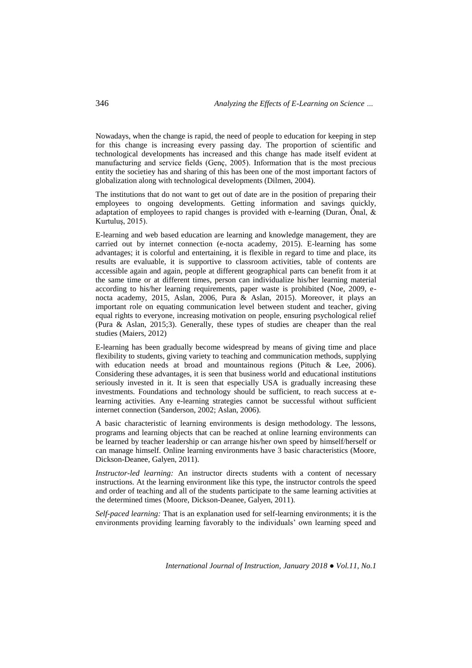Nowadays, when the change is rapid, the need of people to education for keeping in step for this change is increasing every passing day. The proportion of scientific and technological developments has increased and this change has made itself evident at manufacturing and service fields (Genç, 2005). Information that is the most precious entity the societiey has and sharing of this has been one of the most important factors of globalization along with technological developments (Dilmen, 2004).

The institutions that do not want to get out of date are in the position of preparing their employees to ongoing developments. Getting information and savings quickly, adaptation of employees to rapid changes is provided with e-learning (Duran, Önal, & Kurtuluş, 2015).

E-learning and web based education are learning and knowledge management, they are carried out by internet connection (e-nocta academy, 2015). E-learning has some advantages; it is colorful and entertaining, it is flexible in regard to time and place, its results are evaluable, it is supportive to classroom activities, table of contents are accessible again and again, people at different geographical parts can benefit from it at the same time or at different times, person can individualize his/her learning material according to his/her learning requirements, paper waste is prohibited (Noe, 2009, enocta academy, 2015, Aslan, 2006, Pura & Aslan, 2015). Moreover, it plays an important role on equating communication level between student and teacher, giving equal rights to everyone, increasing motivation on people, ensuring psychological relief (Pura & Aslan, 2015;3). Generally, these types of studies are cheaper than the real studies (Maiers, 2012)

E-learning has been gradually become widespread by means of giving time and place flexibility to students, giving variety to teaching and communication methods, supplying with education needs at broad and mountainous regions (Pituch & Lee, 2006). Considering these advantages, it is seen that business world and educational institutions seriously invested in it. It is seen that especially USA is gradually increasing these investments. Foundations and technology should be sufficient, to reach success at elearning activities. Any e-learning strategies cannot be successful without sufficient internet connection (Sanderson, 2002; Aslan, 2006).

A basic characteristic of learning environments is design methodology. The lessons, programs and learning objects that can be reached at online learning environments can be learned by teacher leadership or can arrange his/her own speed by himself/herself or can manage himself. Online learning environments have 3 basic characteristics (Moore, Dickson-Deanee, Galyen, 2011).

*Instructor-led learning:* An instructor directs students with a content of necessary instructions. At the learning environment like this type, the instructor controls the speed and order of teaching and all of the students participate to the same learning activities at the determined times (Moore, Dickson-Deanee, Galyen, 2011).

*Self-paced learning:* That is an explanation used for self-learning environments; it is the environments providing learning favorably to the individuals' own learning speed and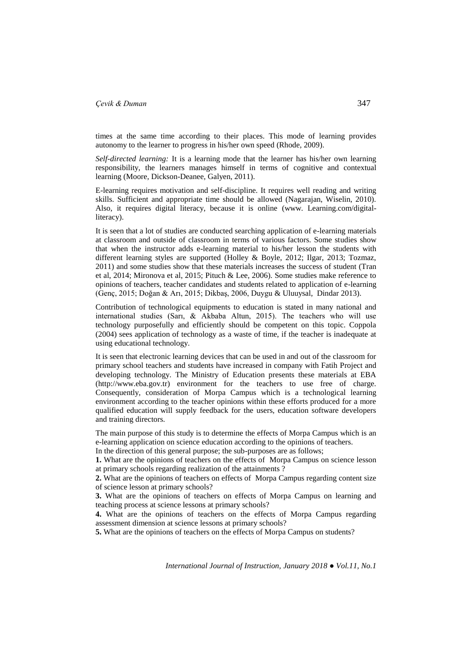times at the same time according to their places. This mode of learning provides autonomy to the learner to progress in his/her own speed (Rhode, 2009).

*Self-directed learning:* It is a learning mode that the learner has his/her own learning responsibility, the learners manages himself in terms of cognitive and contextual learning (Moore, Dickson-Deanee, Galyen, 2011).

E-learning requires motivation and self-discipline. It requires well reading and writing skills. Sufficient and appropriate time should be allowed (Nagarajan, Wiselin, 2010). Also, it requires digital literacy, because it is online (www. Learning.com/digitalliteracy).

It is seen that a lot of studies are conducted searching application of e-learning materials at classroom and outside of classroom in terms of various factors. Some studies show that when the instructor adds e-learning material to his/her lesson the students with different learning styles are supported (Holley & Boyle, 2012; Ilgar, 2013; Tozmaz, 2011) and some studies show that these materials increases the success of student (Tran et al, 2014; Mironova et al, 2015; Pituch & Lee, 2006). Some studies make reference to opinions of teachers, teacher candidates and students related to application of e-learning (Genç, 2015; Doğan & Arı, 2015; Dikbaş, 2006, Duygu & Uluuysal, Dindar 2013).

Contribution of technological equipments to education is stated in many national and international studies (Sarı, & Akbaba Altun, 2015). The teachers who will use technology purposefully and efficiently should be competent on this topic. Coppola (2004) sees application of technology as a waste of time, if the teacher is inadequate at using educational technology.

It is seen that electronic learning devices that can be used in and out of the classroom for primary school teachers and students have increased in company with Fatih Project and developing technology. The Ministry of Education presents these materials at EBA [\(http://www.eba.gov.tr\)](http://www.eba.gov.tr/) environment for the teachers to use free of charge. Consequently, consideration of Morpa Campus which is a technological learning environment according to the teacher opinions within these efforts produced for a more qualified education will supply feedback for the users, education software developers and training directors.

The main purpose of this study is to determine the effects of Morpa Campus which is an e-learning application on science education according to the opinions of teachers.

In the direction of this general purpose; the sub-purposes are as follows;

**1.** What are the opinions of teachers on the effects of Morpa Campus on science lesson at primary schools regarding realization of the attainments ?

**2.** What are the opinions of teachers on effects of Morpa Campus regarding content size of science lesson at primary schools?

**3.** What are the opinions of teachers on effects of Morpa Campus on learning and teaching process at science lessons at primary schools?

**4.** What are the opinions of teachers on the effects of Morpa Campus regarding assessment dimension at science lessons at primary schools?

**5.** What are the opinions of teachers on the effects of Morpa Campus on students?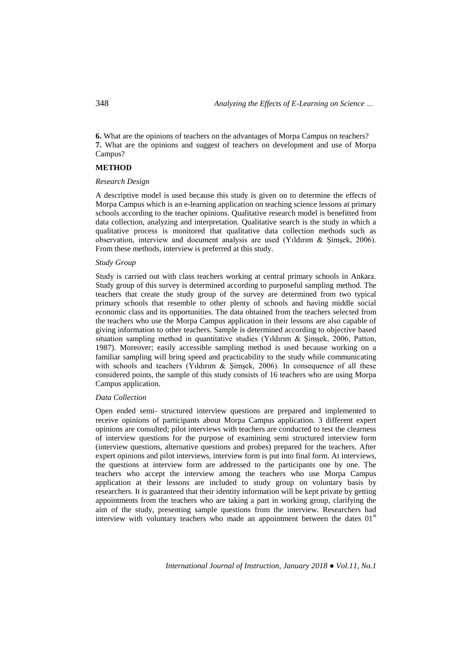**6.** What are the opinions of teachers on the advantages of Morpa Campus on teachers? **7.** What are the opinions and suggest of teachers on development and use of Morpa Campus?

# **METHOD**

# *Research Design*

A descriptive model is used because this study is given on to determine the effects of Morpa Campus which is an e-learning application on teaching science lessons at primary schools according to the teacher opinions. Qualitative research model is benefitted from data collection, analyzing and interpretation. Qualitative search is the study in which a qualitative process is monitored that qualitative data collection methods such as observation, interview and document analysis are used (Yıldırım & Şimşek, 2006). From these methods, interview is preferred at this study.

# *Study Group*

Study is carried out with class teachers working at central primary schools in Ankara. Study group of this survey is determined according to purposeful sampling method. The teachers that create the study group of the survey are determined from two typical primary schools that resemble to other plenty of schools and having middle social economic class and its opportunities. The data obtained from the teachers selected from the teachers who use the Morpa Campus application in their lessons are also capable of giving information to other teachers. Sample is determined according to objective based situation sampling method in quantitative studies (Yıldırım & Şimşek, 2006, Patton, 1987). Moreover; easily accessible sampling method is used because working on a familiar sampling will bring speed and practicability to the study while communicating with schools and teachers (Yıldırım & Şimşek, 2006). In consequence of all these considered points, the sample of this study consists of 16 teachers who are using Morpa Campus application.

# *Data Collection*

Open ended semi- structured interview questions are prepared and implemented to receive opinions of participants about Morpa Campus application. 3 different expert opinions are consulted; pilot interviews with teachers are conducted to test the clearness of interview questions for the purpose of examining semi structured interview form (interview questions, alternative questions and probes) prepared for the teachers. After expert opinions and pilot interviews, interview form is put into final form. At interviews, the questions at interview form are addressed to the participants one by one. The teachers who accept the interview among the teachers who use Morpa Campus application at their lessons are included to study group on voluntary basis by researchers. It is guaranteed that their identity information will be kept private by getting appointments from the teachers who are taking a part in working group, clarifying the aim of the study, presenting sample questions from the interview. Researchers had interview with voluntary teachers who made an appointment between the dates  $01<sup>st</sup>$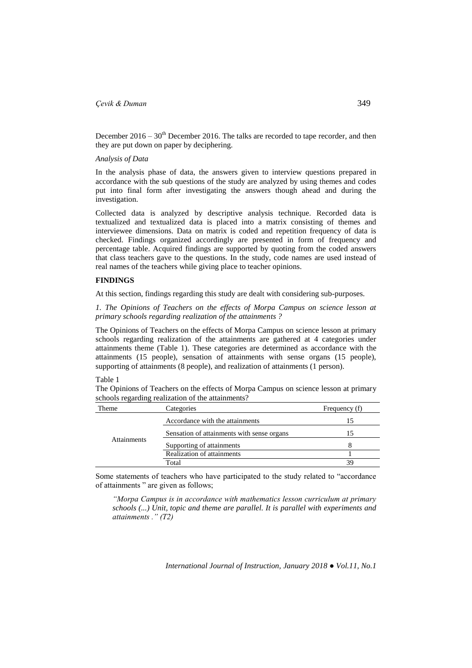December  $2016 - 30<sup>th</sup>$  December 2016. The talks are recorded to tape recorder, and then they are put down on paper by deciphering.

### *Analysis of Data*

In the analysis phase of data, the answers given to interview questions prepared in accordance with the sub questions of the study are analyzed by using themes and codes put into final form after investigating the answers though ahead and during the investigation.

Collected data is analyzed by descriptive analysis technique. Recorded data is textualized and textualized data is placed into a matrix consisting of themes and interviewee dimensions. Data on matrix is coded and repetition frequency of data is checked. Findings organized accordingly are presented in form of frequency and percentage table. Acquired findings are supported by quoting from the coded answers that class teachers gave to the questions. In the study, code names are used instead of real names of the teachers while giving place to teacher opinions.

# **FINDINGS**

At this section, findings regarding this study are dealt with considering sub-purposes.

*1. The Opinions of Teachers on the effects of Morpa Campus on science lesson at primary schools regarding realization of the attainments ?*

The Opinions of Teachers on the effects of Morpa Campus on science lesson at primary schools regarding realization of the attainments are gathered at 4 categories under attainments theme (Table 1). These categories are determined as accordance with the attainments (15 people), sensation of attainments with sense organs (15 people), supporting of attainments (8 people), and realization of attainments (1 person).

# Table 1

The Opinions of Teachers on the effects of Morpa Campus on science lesson at primary schools regarding realization of the attainments?

| Theme       | Categories                                 | Frequency (f) |
|-------------|--------------------------------------------|---------------|
| Attainments | Accordance with the attainments            |               |
|             | Sensation of attainments with sense organs |               |
|             | Supporting of attainments                  |               |
|             | Realization of attainments                 |               |
|             | Total                                      | 39            |

Some statements of teachers who have participated to the study related to "accordance of attainments " are given as follows;

*"Morpa Campus is in accordance with mathematics lesson curriculum at primary schools (...) Unit, topic and theme are parallel. It is parallel with experiments and attainments ." (T2)*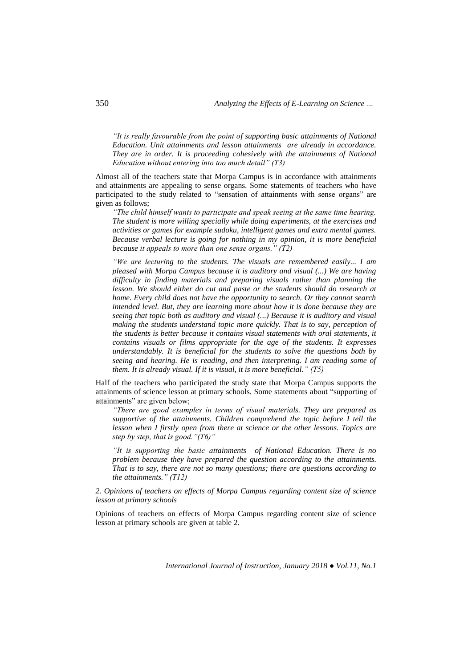*"It is really favourable from the point of supporting basic attainments of National Education. Unit attainments and lesson attainments are already in accordance. They are in order. It is proceeding cohesively with the attainments of National Education without entering into too much detail" (T3)* 

Almost all of the teachers state that Morpa Campus is in accordance with attainments and attainments are appealing to sense organs. Some statements of teachers who have participated to the study related to "sensation of attainments with sense organs" are given as follows;

*"The child himself wants to participate and speak seeing at the same time hearing. The student is more willing specially while doing experiments, at the exercises and activities or games for example sudoku, intelligent games and extra mental games. Because verbal lecture is going for nothing in my opinion, it is more beneficial because it appeals to more than one sense organs." (T2)*

*"We are lecturing to the students. The visuals are remembered easily... I am pleased with Morpa Campus because it is auditory and visual (...) We are having difficulty in finding materials and preparing visuals rather than planning the lesson. We should either do cut and paste or the students should do research at home. Every child does not have the opportunity to search. Or they cannot search intended level. But, they are learning more about how it is done because they are seeing that topic both as auditory and visual (...) Because it is auditory and visual making the students understand topic more quickly. That is to say, perception of the students is better because it contains visual statements with oral statements, it contains visuals or films appropriate for the age of the students. It expresses understandably. It is beneficial for the students to solve the questions both by seeing and hearing. He is reading, and then interpreting. I am reading some of them. It is already visual. If it is visual, it is more beneficial." (T5)*

Half of the teachers who participated the study state that Morpa Campus supports the attainments of science lesson at primary schools. Some statements about "supporting of attainments" are given below;

*"There are good examples in terms of visual materials. They are prepared as supportive of the attainments. Children comprehend the topic before I tell the lesson when I firstly open from there at science or the other lessons. Topics are step by step, that is good."(T6)"*

*"It is supporting the basic attainments of National Education. There is no problem because they have prepared the question according to the attainments. That is to say, there are not so many questions; there are questions according to the attainments." (T12)* 

*2. Opinions of teachers on effects of Morpa Campus regarding content size of science lesson at primary schools*

Opinions of teachers on effects of Morpa Campus regarding content size of science lesson at primary schools are given at table 2.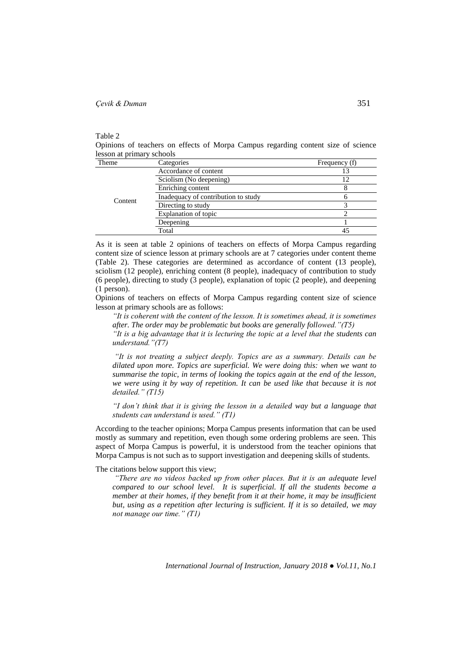Table 2

Opinions of teachers on effects of Morpa Campus regarding content size of science lesson at primary schools

| Theme   | Categories                          | Frequency (f) |
|---------|-------------------------------------|---------------|
| Content | Accordance of content               |               |
|         | Sciolism (No deepening)             |               |
|         | Enriching content                   |               |
|         | Inadequacy of contribution to study |               |
|         | Directing to study                  |               |
|         | Explanation of topic                |               |
|         | Deepening                           |               |
|         | Total                               | 45            |
|         |                                     |               |

As it is seen at table 2 opinions of teachers on effects of Morpa Campus regarding content size of science lesson at primary schools are at 7 categories under content theme (Table 2). These categories are determined as accordance of content (13 people), sciolism (12 people), enriching content (8 people), inadequacy of contribution to study (6 people), directing to study (3 people), explanation of topic (2 people), and deepening (1 person).

Opinions of teachers on effects of Morpa Campus regarding content size of science lesson at primary schools are as follows:

*"It is coherent with the content of the lesson. It is sometimes ahead, it is sometimes after. The order may be problematic but books are generally followed."(T5)*

*"It is a big advantage that it is lecturing the topic at a level that the students can understand."(T7)*

*"It is not treating a subject deeply. Topics are as a summary. Details can be dilated upon more. Topics are superficial. We were doing this: when we want to summarise the topic, in terms of looking the topics again at the end of the lesson, we were using it by way of repetition. It can be used like that because it is not detailed." (T15)*

*"I don't think that it is giving the lesson in a detailed way but a language that students can understand is used." (T1)*

According to the teacher opinions; Morpa Campus presents information that can be used mostly as summary and repetition, even though some ordering problems are seen. This aspect of Morpa Campus is powerful, it is understood from the teacher opinions that Morpa Campus is not such as to support investigation and deepening skills of students.

The citations below support this view;

*"There are no videos backed up from other places. But it is an adequate level compared to our school level. It is superficial. If all the students become a member at their homes, if they benefit from it at their home, it may be insufficient but, using as a repetition after lecturing is sufficient. If it is so detailed, we may not manage our time." (T1)*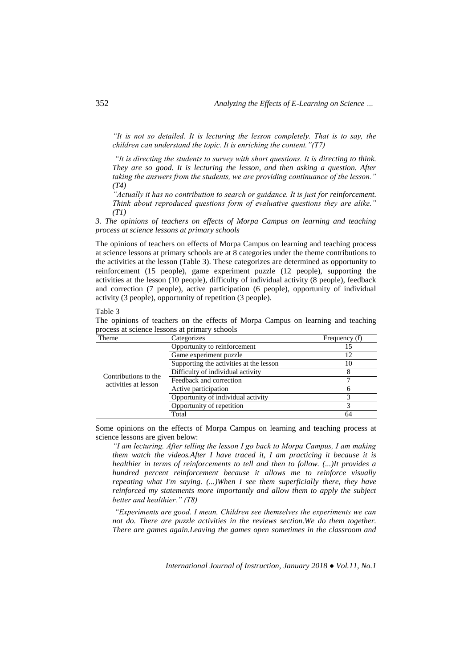*"It is not so detailed. It is lecturing the lesson completely. That is to say, the children can understand the topic. It is enriching the content."(T7)*

*"It is directing the students to survey with short questions. It is directing to think. They are so good. It is lecturing the lesson, and then asking a question. After taking the answers from the students, we are providing continuance of the lesson." (T4)*

*"Actually it has no contribution to search or guidance. It is just for reinforcement. Think about reproduced questions form of evaluative questions they are alike." (T1)*

*3. The opinions of teachers on effects of Morpa Campus on learning and teaching process at science lessons at primary schools*

The opinions of teachers on effects of Morpa Campus on learning and teaching process at science lessons at primary schools are at 8 categories under the theme contributions to the activities at the lesson (Table 3). These categorizes are determined as opportunity to reinforcement (15 people), game experiment puzzle (12 people), supporting the activities at the lesson (10 people), difficulty of individual activity (8 people), feedback and correction (7 people), active participation (6 people), opportunity of individual activity (3 people), opportunity of repetition (3 people).

Table 3

The opinions of teachers on the effects of Morpa Campus on learning and teaching process at science lessons at primary schools

| Theme                                        | Categorizes                             | Frequency (f) |
|----------------------------------------------|-----------------------------------------|---------------|
| Contributions to the<br>activities at lesson | Opportunity to reinforcement            | 15            |
|                                              | Game experiment puzzle                  | 12            |
|                                              | Supporting the activities at the lesson | 10            |
|                                              | Difficulty of individual activity       |               |
|                                              | Feedback and correction                 |               |
|                                              | Active participation                    |               |
|                                              | Opportunity of individual activity      |               |
|                                              | Opportunity of repetition               |               |
|                                              | Total                                   | 64            |

Some opinions on the effects of Morpa Campus on learning and teaching process at science lessons are given below:

*"I am lecturing. After telling the lesson I go back to Morpa Campus, I am making them watch the videos.After I have traced it, I am practicing it because it is healthier in terms of reinforcements to tell and then to follow. (...)It provides a hundred percent reinforcement because it allows me to reinforce visually repeating what I'm saying. (...)When I see them superficially there, they have reinforced my statements more importantly and allow them to apply the subject better and healthier." (T8)* 

*"Experiments are good. I mean, Children see themselves the experiments we can not do. There are puzzle activities in the reviews section.We do them together. There are games again.Leaving the games open sometimes in the classroom and*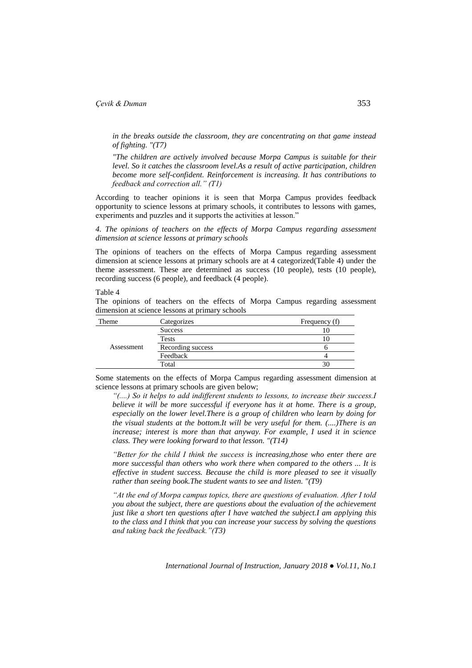*in the breaks outside the classroom, they are concentrating on that game instead of fighting. "(T7)*

*"The children are actively involved because Morpa Campus is suitable for their level. So it catches the classroom level.As a result of active participation, children become more self-confident. Reinforcement is increasing. It has contributions to feedback and correction all." (T1)*

According to teacher opinions it is seen that Morpa Campus provides feedback opportunity to science lessons at primary schools, it contributes to lessons with games, experiments and puzzles and it supports the activities at lesson."

*4. The opinions of teachers on the effects of Morpa Campus regarding assessment dimension at science lessons at primary schools*

The opinions of teachers on the effects of Morpa Campus regarding assessment dimension at science lessons at primary schools are at 4 categorized(Table 4) under the theme assessment. These are determined as success (10 people), tests (10 people), recording success (6 people), and feedback (4 people).

Table 4

The opinions of teachers on the effects of Morpa Campus regarding assessment dimension at science lessons at primary schools

| Theme      | Categorizes       | Frequency (f) |
|------------|-------------------|---------------|
| Assessment | <b>Success</b>    |               |
|            | <b>Tests</b>      |               |
|            | Recording success |               |
|            | Feedback          |               |
|            | Total             |               |

Some statements on the effects of Morpa Campus regarding assessment dimension at science lessons at primary schools are given below;

*"(....) So it helps to add indifferent students to lessons, to increase their success.I believe it will be more successful if everyone has it at home. There is a group, especially on the lower level.There is a group of children who learn by doing for the visual students at the bottom.It will be very useful for them. (....)There is an increase; interest is more than that anyway. For example, I used it in science class. They were looking forward to that lesson. "(T14)*

*"Better for the child I think the success is increasing,those who enter there are more successful than others who work there when compared to the others ... It is effective in student success. Because the child is more pleased to see it visually rather than seeing book.The student wants to see and listen. "(T9)*

*"At the end of Morpa campus topics, there are questions of evaluation. After I told you about the subject, there are questions about the evaluation of the achievement just like a short ten questions after I have watched the subject.I am applying this to the class and I think that you can increase your success by solving the questions and taking back the feedback."(T3)*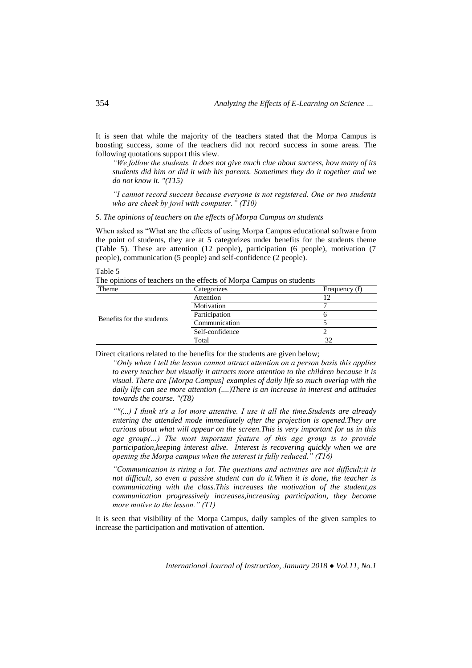It is seen that while the majority of the teachers stated that the Morpa Campus is boosting success, some of the teachers did not record success in some areas. The following quotations support this view.

*"We follow the students. It does not give much clue about success, how many of its students did him or did it with his parents. Sometimes they do it together and we do not know it. "(T15)*

*"I cannot record success because everyone is not registered. One or two students who are cheek by jowl with computer." (T10)* 

*5. The opinions of teachers on the effects of Morpa Campus on students*

When asked as "What are the effects of using Morpa Campus educational software from the point of students, they are at 5 categorizes under benefits for the students theme (Table 5). These are attention (12 people), participation (6 people), motivation (7 people), communication (5 people) and self-confidence (2 people).

Table 5

The opinions of teachers on the effects of Morpa Campus on students

| Theme                     | Categorizes     | Frequency (f) |
|---------------------------|-----------------|---------------|
|                           | Attention       |               |
|                           | Motivation      |               |
| Benefits for the students | Participation   |               |
|                           | Communication   |               |
|                           | Self-confidence |               |
|                           | Total           |               |

Direct citations related to the benefits for the students are given below;

*"Only when I tell the lesson cannot attract attention on a person basis this applies to every teacher but visually it attracts more attention to the children because it is visual. There are [Morpa Campus] examples of daily life so much overlap with the daily life can see more attention (....)There is an increase in interest and attitudes towards the course. "(T8)*

*""(...) I think it's a lot more attentive. I use it all the time.Students are already entering the attended mode immediately after the projection is opened.They are curious about what will appear on the screen.This is very important for us in this age group(…) The most important feature of this age group is to provide participation,keeping interest alive. Interest is recovering quickly when we are opening the Morpa campus when the interest is fully reduced." (T16)* 

*"Communication is rising a lot. The questions and activities are not difficult;it is not difficult, so even a passive student can do it.When it is done, the teacher is communicating with the class.This increases the motivation of the student,as communication progressively increases,increasing participation, they become more motive to the lesson." (T1)*

It is seen that visibility of the Morpa Campus, daily samples of the given samples to increase the participation and motivation of attention.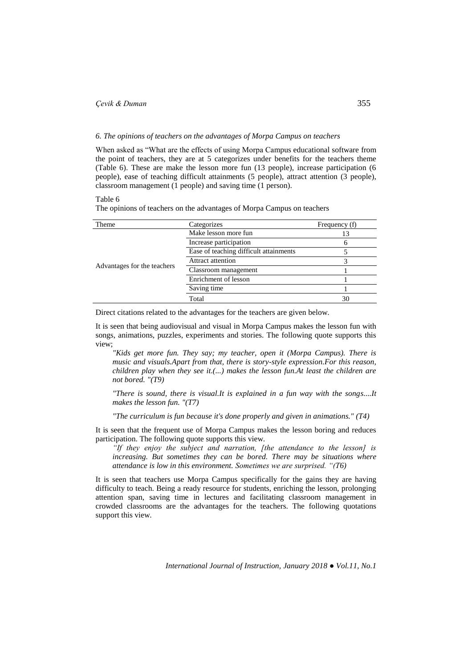#### *6. The opinions of teachers on the advantages of Morpa Campus on teachers*

When asked as "What are the effects of using Morpa Campus educational software from the point of teachers, they are at 5 categorizes under benefits for the teachers theme (Table 6). These are make the lesson more fun (13 people), increase participation (6 people), ease of teaching difficult attainments (5 people), attract attention (3 people), classroom management (1 people) and saving time (1 person).

## Table 6

The opinions of teachers on the advantages of Morpa Campus on teachers

| Theme                       | Categorizes                            | Frequency (f) |
|-----------------------------|----------------------------------------|---------------|
|                             | Make lesson more fun                   | 13            |
|                             | Increase participation                 |               |
| Advantages for the teachers | Ease of teaching difficult attainments |               |
|                             | Attract attention                      |               |
|                             | Classroom management                   |               |
|                             | Enrichment of lesson                   |               |
|                             | Saving time                            |               |
|                             | Total                                  | 30            |

Direct citations related to the advantages for the teachers are given below.

It is seen that being audiovisual and visual in Morpa Campus makes the lesson fun with songs, animations, puzzles, experiments and stories. The following quote supports this view;

*"Kids get more fun. They say; my teacher, open it (Morpa Campus). There is music and visuals.Apart from that, there is story-style expression.For this reason, children play when they see it.(...) makes the lesson fun.At least the children are not bored. "(T9)*

*"There is sound, there is visual.It is explained in a fun way with the songs....It makes the lesson fun. "(T7)*

*"The curriculum is fun because it's done properly and given in animations." (T4)*

It is seen that the frequent use of Morpa Campus makes the lesson boring and reduces participation. The following quote supports this view.

*"If they enjoy the subject and narration, [the attendance to the lesson] is increasing. But sometimes they can be bored. There may be situations where attendance is low in this environment. Sometimes we are surprised. "(T6)*

It is seen that teachers use Morpa Campus specifically for the gains they are having difficulty to teach. Being a ready resource for students, enriching the lesson, prolonging attention span, saving time in lectures and facilitating classroom management in crowded classrooms are the advantages for the teachers. The following quotations support this view.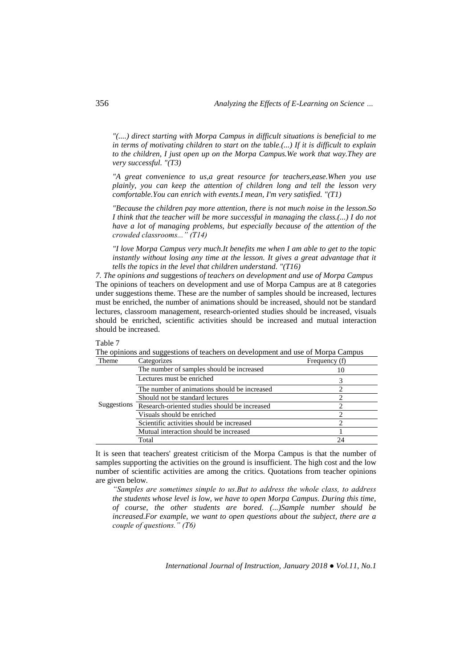*"(....) direct starting with Morpa Campus in difficult situations is beneficial to me in terms of motivating children to start on the table.(...) If it is difficult to explain to the children, I just open up on the Morpa Campus.We work that way.They are very successful. "(T3)*

*"A great convenience to us,a great resource for teachers,ease.When you use plainly, you can keep the attention of children long and tell the lesson very comfortable.You can enrich with events.I mean, I'm very satisfied. "(T1)*

*"Because the children pay more attention, there is not much noise in the lesson.So I think that the teacher will be more successful in managing the class.(...) I do not have a lot of managing problems, but especially because of the attention of the crowded classrooms..." (T14)*

*"I love Morpa Campus very much.It benefits me when I am able to get to the topic instantly without losing any time at the lesson. It gives a great advantage that it tells the topics in the level that children understand. "(T16)* 

*7. The opinions and* suggestions *of teachers on development and use of Morpa Campus* The opinions of teachers on development and use of Morpa Campus are at 8 categories under suggestions theme. These are the number of samples should be increased, lectures must be enriched, the number of animations should be increased, should not be standard lectures, classroom management, research-oriented studies should be increased, visuals should be enriched, scientific activities should be increased and mutual interaction should be increased.

Table 7

The opinions and suggestions of teachers on development and use of Morpa Campus

| Categorizes                                  | Frequency (f)                                             |
|----------------------------------------------|-----------------------------------------------------------|
| The number of samples should be increased    |                                                           |
| Lectures must be enriched                    |                                                           |
| The number of animations should be increased |                                                           |
| Should not be standard lectures              |                                                           |
|                                              |                                                           |
| Visuals should be enriched                   |                                                           |
| Scientific activities should be increased    |                                                           |
| Mutual interaction should be increased       |                                                           |
| Total                                        | 24                                                        |
|                                              | Suggestions Research-oriented studies should be increased |

It is seen that teachers' greatest criticism of the Morpa Campus is that the number of samples supporting the activities on the ground is insufficient. The high cost and the low number of scientific activities are among the critics. Quotations from teacher opinions are given below.

*"Samples are sometimes simple to us.But to address the whole class, to address the students whose level is low, we have to open Morpa Campus. During this time, of course, the other students are bored. (...)Sample number should be increased.For example, we want to open questions about the subject, there are a couple of questions." (T6)*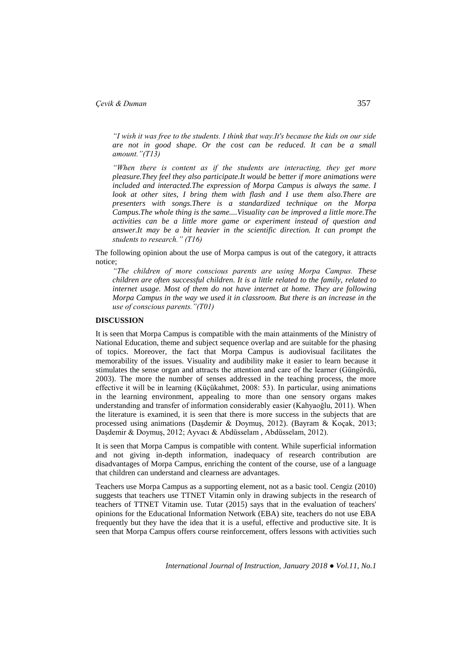*"I wish it was free to the students. I think that way.It's because the kids on our side are not in good shape. Or the cost can be reduced. It can be a small amount."(T13)*

*"When there is content as if the students are interacting, they get more pleasure.They feel they also participate.It would be better if more animations were*  included and interacted.The expression of Morpa Campus is always the same. I *look at other sites, I bring them with flash and I use them also.There are presenters with songs.There is a standardized technique on the Morpa Campus.The whole thing is the same....Visuality can be improved a little more.The activities can be a little more game or experiment instead of question and answer.It may be a bit heavier in the scientific direction. It can prompt the students to research." (T16)*

The following opinion about the use of Morpa campus is out of the category, it attracts notice;

*"The children of more conscious parents are using Morpa Campus. These children are often successful children. It is a little related to the family, related to internet usage. Most of them do not have internet at home. They are following Morpa Campus in the way we used it in classroom. But there is an increase in the use of conscious parents."(T01)*

# **DISCUSSION**

It is seen that Morpa Campus is compatible with the main attainments of the Ministry of National Education, theme and subject sequence overlap and are suitable for the phasing of topics. Moreover, the fact that Morpa Campus is audiovisual facilitates the memorability of the issues. Visuality and audibility make it easier to learn because it stimulates the sense organ and attracts the attention and care of the learner (Güngördü, 2003). The more the number of senses addressed in the teaching process, the more effective it will be in learning (Küçükahmet, 2008: 53). In particular, using animations in the learning environment, appealing to more than one sensory organs makes understanding and transfer of information considerably easier (Kahyaoğlu, 2011). When the literature is examined, it is seen that there is more success in the subjects that are processed using animations (Daşdemir & Doymuş, 2012). (Bayram & Koçak, 2013; Daşdemir & Doymuş, 2012; Ayvacı & Abdüsselam , Abdüsselam, 2012).

It is seen that Morpa Campus is compatible with content. While superficial information and not giving in-depth information, inadequacy of research contribution are disadvantages of Morpa Campus, enriching the content of the course, use of a language that children can understand and clearness are advantages.

Teachers use Morpa Campus as a supporting element, not as a basic tool. Cengiz (2010) suggests that teachers use TTNET Vitamin only in drawing subjects in the research of teachers of TTNET Vitamin use. Tutar (2015) says that in the evaluation of teachers' opinions for the Educational Information Network (EBA) site, teachers do not use EBA frequently but they have the idea that it is a useful, effective and productive site. It is seen that Morpa Campus offers course reinforcement, offers lessons with activities such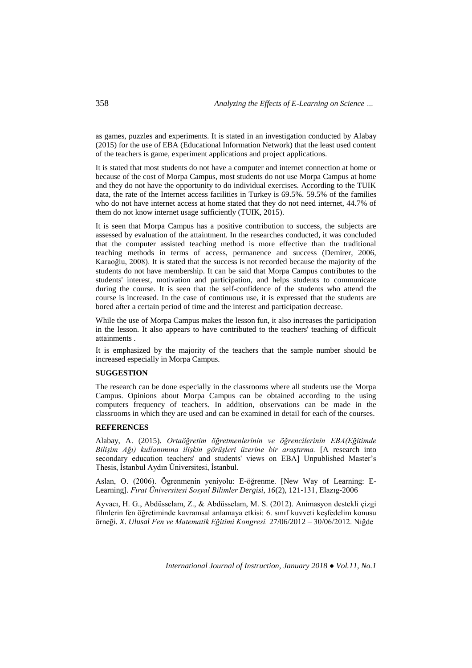as games, puzzles and experiments. It is stated in an investigation conducted by Alabay (2015) for the use of EBA (Educational Information Network) that the least used content of the teachers is game, experiment applications and project applications.

It is stated that most students do not have a computer and internet connection at home or because of the cost of Morpa Campus, most students do not use Morpa Campus at home and they do not have the opportunity to do individual exercises. According to the TUIK data, the rate of the Internet access facilities in Turkey is 69.5%. 59.5% of the families who do not have internet access at home stated that they do not need internet, 44.7% of them do not know internet usage sufficiently (TUIK, 2015).

It is seen that Morpa Campus has a positive contribution to success, the subjects are assessed by evaluation of the attaintment. In the researches conducted, it was concluded that the computer assisted teaching method is more effective than the traditional teaching methods in terms of access, permanence and success (Demirer, 2006, Karaoğlu, 2008). It is stated that the success is not recorded because the majority of the students do not have membership. It can be said that Morpa Campus contributes to the students' interest, motivation and participation, and helps students to communicate during the course. It is seen that the self-confidence of the students who attend the course is increased. In the case of continuous use, it is expressed that the students are bored after a certain period of time and the interest and participation decrease.

While the use of Morpa Campus makes the lesson fun, it also increases the participation in the lesson. It also appears to have contributed to the teachers' teaching of difficult attainments .

It is emphasized by the majority of the teachers that the sample number should be increased especially in Morpa Campus.

#### **SUGGESTION**

The research can be done especially in the classrooms where all students use the Morpa Campus. Opinions about Morpa Campus can be obtained according to the using computers frequency of teachers. In addition, observations can be made in the classrooms in which they are used and can be examined in detail for each of the courses.

# **REFERENCES**

Alabay, A. (2015). *Ortaöğretim öğretmenlerinin ve öğrencilerinin EBA(Eğitimde Bilişim Ağı) kullanımına ilişkin görüşleri üzerine bir araştırma.* [A research into secondary education teachers' and students' views on EBA] Unpublished Master's Thesis, İstanbul Aydın Üniversitesi, İstanbul.

Aslan, O. (2006). Ögrenmenin yeniyolu: E-öğrenme. [New Way of Learning: E-Learning]. *Fırat Üniversitesi Sosyal Bilimler Dergisi, 16*(2), 121-131, Elazıg-2006

Ayvacı, H. G., Abdüsselam, Z., & Abdüsselam, M. S. (2012). Animasyon destekli çizgi filmlerin fen öğretiminde kavramsal anlamaya etkisi: 6. sınıf kuvveti keşfedelim konusu örneği*. X. Ulusal Fen ve Matematik Eğitimi Kongresi.* 27/06/2012 – 30/06/2012. Niğde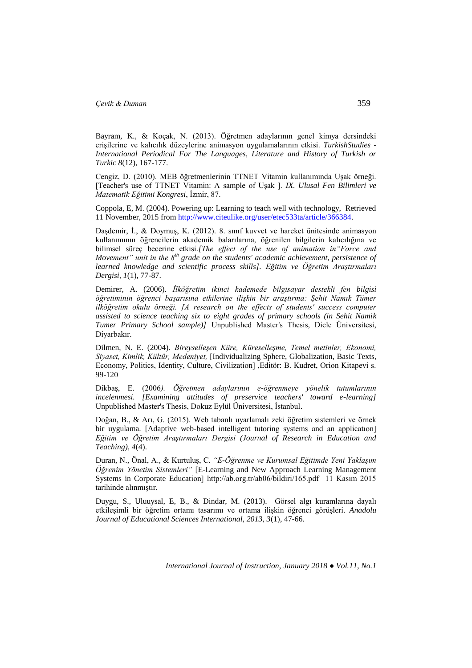Bayram, K., & Koçak, N. (2013). Öğretmen adaylarının genel kimya dersindeki erişilerine ve kalıcılık düzeylerine animasyon uygulamalarının etkisi. *TurkishStudies - International Periodical For The Languages, Literature and History of Turkish or Turkic 8*(12), 167-177.

Cengiz, D. (2010). MEB öğretmenlerinin TTNET Vitamin kullanımında Uşak örneği. [Teacher's use of TTNET Vitamin: A sample of Uşak ]. *IX. Ulusal Fen Bilimleri ve Matematik Eğitimi Kongresi*, İzmir, 87.

Coppola, E, M. (2004). Powering up: Learning to teach well with technology, Retrieved 11 November, 2015 fro[m http://www.citeulike.org/user/etec533ta/article/366384.](http://www.citeulike.org/user/etec533ta/article/366384)

Daşdemir, İ., & Doymuş, K. (2012). 8. sınıf kuvvet ve hareket ünitesinde animasyon kullanımının öğrencilerin akademik balarılarına, öğrenilen bilgilerin kalıcılığına ve bilimsel süreç becerine etkisi*.[The effect of the use of animation in"Force and Movement" unit in the 8th grade on the students' academic achievement, persistence of learned knowledge and scientific process skills]. Eğitim ve Öğretim Araştırmaları Dergisi, 1*(1), 77-87.

Demirer, A. (2006). *İlköğretim ikinci kademede bilgisayar destekli fen bilgisi öğretiminin öğrenci başarısına etkilerine ilişkin bir araştırma: Şehit Namık Tümer ilköğretim okulu örneği. [A research on the effects of students' success computer assisted to science teaching six to eight grades of primary schools (in Sehit Namik Tumer Primary School sample)]* Unpublished Master's Thesis, Dicle Üniversitesi, Diyarbakır.

Dilmen, N. E. (2004). *Bireyselleşen Küre, Küreselleşme, Temel metinler, Ekonomi, Siyaset, Kimlik, Kültür, Medeniyet,* [Individualizing Sphere, Globalization, Basic Texts, Economy, Politics, Identity, Culture, Civilization] ,Editör: B. Kudret, Orion Kitapevi s. 99-120

Dikbaş, E. (2006*). Öğretmen adaylarının e-öğrenmeye yönelik tutumlarının incelenmesi. [Examining attitudes of preservice teachers' toward e-learning]*  Unpublished Master's Thesis, Dokuz Eylül Üniversitesi, İstanbul.

Doğan, B., & Arı, G. (2015). Web tabanlı uyarlamalı zeki öğretim sistemleri ve örnek bir uygulama. [Adaptive web-based intelligent tutoring systems and an application] *Eğitim ve Öğretim Araştırmaları Dergisi (Journal of Research in Education and Teaching), 4*(4).

Duran, N., Önal, A., & Kurtuluş, C. *"E-Öğrenme ve Kurumsal Eğitimde Yeni Yaklaşım Öğrenim Yönetim Sistemleri"* [E-Learning and New Approach Learning Management Systems in Corporate Education] http://ab.org.tr/ab06/bildiri/165.pdf 11 Kasım 2015 tarihinde alınmıştır*.*

Duygu, S., Uluuysal, E, B., & Dindar, M. (2013). Görsel algı kuramlarına dayalı etkileşimli bir öğretim ortamı tasarımı ve ortama ilişkin öğrenci görüşleri. *Anadolu Journal of Educational Sciences International, 2013, 3*(1), 47-66.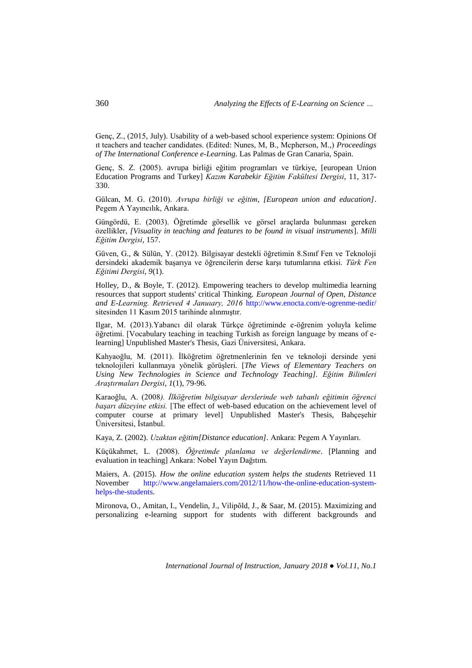Genç, Z., (2015, July). Usability of a web-based school experience system: Opinions Of ıt teachers and teacher candidates. (Edited: Nunes, M, B., Mcpherson, M.,) *Proceedings of The International Conference e-Learning.* Las Palmas de Gran Canaria, Spain.

Genç, S. Z. (2005). avrupa birliği eğitim programları ve türkiye*,* [european Union Education Programs and Turkey] *Kazım Karabekir Eğitim Fakültesi Dergisi*, 11, 317- 330.

Gülcan, M. G. (2010). *Avrupa birliği ve eğitim*, *[European union and education]*. Pegem A Yayıncılık, Ankara.

Güngördü, E. (2003). Öğretimde görsellik ve görsel araçlarda bulunması gereken özellikler, *[Visuality in teaching and features to be found in visual instruments*]. *Milli Eğitim Dergisi,* 157.

Güven, G., & Sülün, Y. (2012). Bilgisayar destekli öğretimin 8.Sınıf Fen ve Teknoloji dersindeki akademik başarıya ve öğrencilerin derse karşı tutumlarına etkisi. *Türk Fen Eğitimi Dergisi*, *9*(1).

Holley, D., & Boyle, T. (2012). Empowering teachers to develop multimedia learning resources that support students' critical Thinking. *European Journal of Open, Distance and E-Learning. Retrieved 4 Januıary, 2016* <http://www.enocta.com/e-ogrenme-nedir/> sitesinden 11 Kasım 2015 tarihinde alınmıştır.

Ilgar, M. (2013).Yabancı dil olarak Türkçe öğretiminde e-öğrenim yoluyla kelime öğretimi. [Vocabulary teaching in teaching Turkish as foreign language by means of elearning] Unpublished Master's Thesis, Gazi Üniversitesi, Ankara.

Kahyaoğlu, M. (2011). İlköğretim öğretmenlerinin fen ve teknoloji dersinde yeni teknolojileri kullanmaya yönelik görüşleri*.* [*The Views of Elementary Teachers on Using New Technologies in Science and Technology Teaching]. Eğitim Bilimleri Araştırmaları Dergisi*, *1*(1), 79-96.

Karaoğlu, A. (2008*). İlköğretim bilgisayar derslerinde web tabanlı eğitimin öğrenci başarı düzeyine etkisi.* [The effect of web-based education on the achievement level of computer course at primary level] Unpublished Master's Thesis, Bahçeşehir Üniversitesi, İstanbul.

Kaya, Z. (2002). *Uzaktan eğitim[Distance education].* Ankara: Pegem A Yayınları.

Küçükahmet, L. (2008). *Öğretimde planlama ve değerlendirme*. [Planning and evaluation in teaching] Ankara: Nobel Yayın Dağıtım.

Maiers, A. (2015). *How the online education system helps the students* Retrieved 11 November [http://www.angelamaiers.com/2012/11/how-the-online-education-system](http://www.angelamaiers.com/2012/11/how-the-online-education-system-helps-the-students)[helps-the-students.](http://www.angelamaiers.com/2012/11/how-the-online-education-system-helps-the-students)

Mironova, O., Amitan, I., Vendelin, J., Vilipõld, J., & Saar, M. (2015). Maximizing and personalizing e-learning support for students with different backgrounds and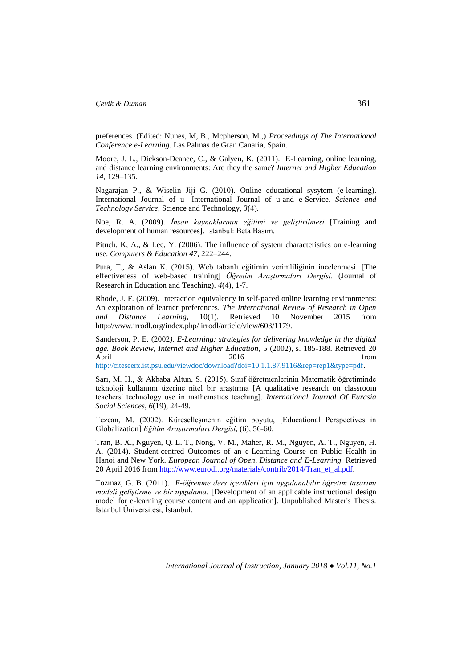preferences. (Edited: Nunes, M, B., Mcpherson, M.,) *Proceedings of The International Conference e-Learning.* Las Palmas de Gran Canaria, Spain.

Moore, J. L., Dickson-Deanee, C., & Galyen, K. (2011). E-Learning, online learning, and distance learning environments: Are they the same? *Internet and Higher Education 14*, 129–135.

Nagarajan P., & Wiselin Jiji G. (2010). Online educational sysytem (e-learning). International Journal of u- International Journal of u-and e-Service. *Science and Technology Service*, Science and Technology, *3*(4).

Noe, R. A. (2009). *İnsan kaynaklarının eğitimi ve geliştirilmesi* [Training and development of human resources]. İstanbul: Beta Basım.

Pituch, K, A., & Lee, Y. (2006). The influence of system characteristics on e-learning use. *Computers & Education 47*, 222–244.

Pura, T., & Aslan K. (2015). Web tabanlı eğitimin verimliliğinin incelenmesi. [The effectiveness of web-based training] *Öğretim Araştırmaları Dergisi.* (Journal of Research in Education and Teaching). *4*(4), 1-7.

Rhode, J. F. (2009). Interaction equivalency in self-paced online learning environments: An exploration of learner preferences. *The International Review of Research in Open and Distance Learning*, 10(1). Retrieved 10 November 2015 from *and Distance Learning,* 10(1). Retrieved 10 November 2015 from http://www.irrodl.org/index.php/ irrodl/article/view/603/1179.

Sanderson, P, E. (2002*). E-Learning: strategies for delivering knowledge in the digital age. Book Review, Internet and Higher Education*, 5 (2002), s. 185-188. Retrieved 20 April 2016 **from** [http://citeseerx.ist.psu.edu/viewdoc/download?doi=10.1.1.87.9116&rep=rep1&type=pdf.](http://citeseerx.ist.psu.edu/viewdoc/download?doi=10.1.1.87.9116&rep=rep1&type=pdf)

Sarı, M. H., & Akbaba Altun, S. (2015). Sınıf öğretmenlerinin Matematik öğretiminde teknoloji kullanımı üzerine nitel bir araştırma [A qualitative research on classroom teachers' technology use in mathematıcs teachıng]. *International Journal Of Eurasia Social Sciences*, *6*(19), 24-49.

Tezcan, M. (2002). Küreselleşmenin eğitim boyutu, [Educational Perspectives in Globalization] *Eğitim Araştırmaları Dergisi*, (6), 56-60.

Tran, B. X., Nguyen, Q. L. T., Nong, V. M.*,* Maher, R. M., Nguyen, A. T., Nguyen, H. A. (2014). Student-centred Outcomes of an e-Learning Course on Public Health in Hanoi and New York. *European Journal of Open, Distance and E-Learning.* Retrieved 20 April 2016 from [http://www.eurodl.org/materials/contrib/2014/Tran\\_et\\_al.pdf.](http://www.eurodl.org/materials/contrib/2014/Tran_et_al.pdf)

Tozmaz, G. B. (2011). *E-öğrenme ders içerikleri için uygulanabilir öğretim tasarımı modeli geliştirme ve bir uygulama.* [Development of an applicable instructional design model for e-learning course content and an application]. Unpublished Master's Thesis. İstanbul Üniversitesi, İstanbul.